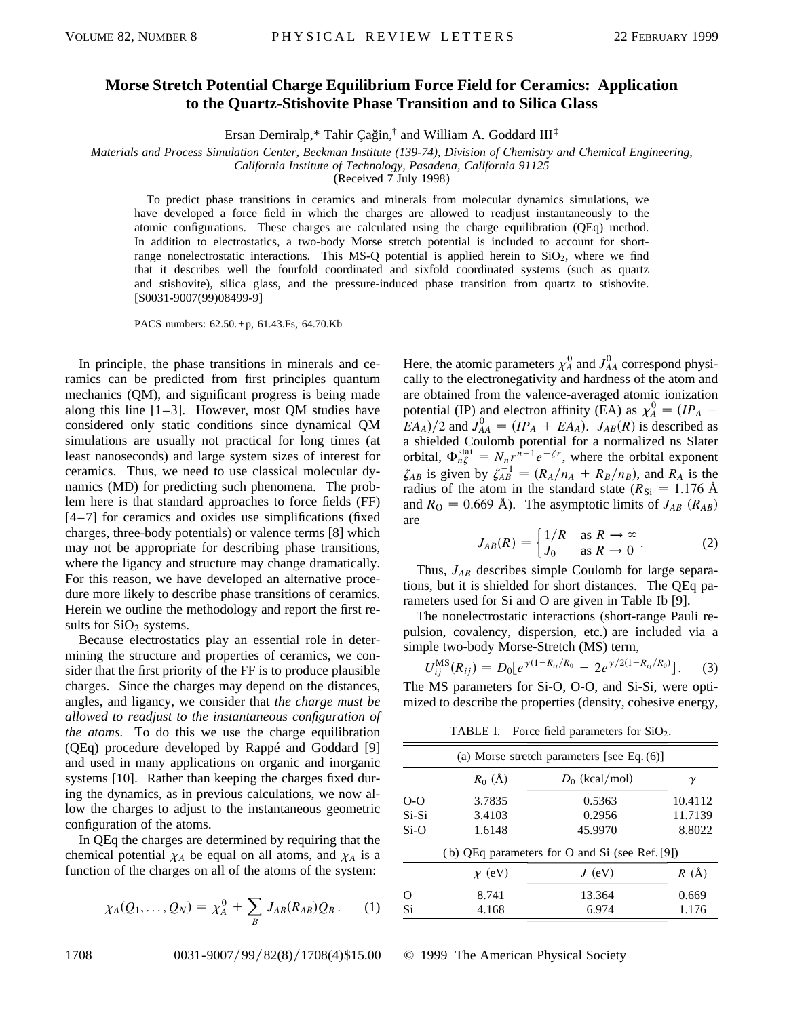## **Morse Stretch Potential Charge Equilibrium Force Field for Ceramics: Application to the Quartz-Stishovite Phase Transition and to Silica Glass**

Ersan Demiralp,\* Tahir Çağin, $\dagger$  and William A. Goddard  $III^{\ddagger}$ 

*Materials and Process Simulation Center, Beckman Institute (139-74), Division of Chemistry and Chemical Engineering,*

*California Institute of Technology, Pasadena, California 91125*

(Received 7 July 1998)

To predict phase transitions in ceramics and minerals from molecular dynamics simulations, we have developed a force field in which the charges are allowed to readjust instantaneously to the atomic configurations. These charges are calculated using the charge equilibration (QEq) method. In addition to electrostatics, a two-body Morse stretch potential is included to account for shortrange nonelectrostatic interactions. This  $MS-Q$  potential is applied herein to  $SiO<sub>2</sub>$ , where we find that it describes well the fourfold coordinated and sixfold coordinated systems (such as quartz and stishovite), silica glass, and the pressure-induced phase transition from quartz to stishovite. [S0031-9007(99)08499-9]

PACS numbers: 62.50. + p, 61.43.Fs, 64.70.Kb

In principle, the phase transitions in minerals and ceramics can be predicted from first principles quantum mechanics (QM), and significant progress is being made along this line  $[1-3]$ . However, most QM studies have considered only static conditions since dynamical QM simulations are usually not practical for long times (at least nanoseconds) and large system sizes of interest for ceramics. Thus, we need to use classical molecular dynamics (MD) for predicting such phenomena. The problem here is that standard approaches to force fields (FF) [4–7] for ceramics and oxides use simplifications (fixed charges, three-body potentials) or valence terms [8] which may not be appropriate for describing phase transitions, where the ligancy and structure may change dramatically. For this reason, we have developed an alternative procedure more likely to describe phase transitions of ceramics. Herein we outline the methodology and report the first results for  $SiO<sub>2</sub>$  systems.

Because electrostatics play an essential role in determining the structure and properties of ceramics, we consider that the first priority of the FF is to produce plausible charges. Since the charges may depend on the distances, angles, and ligancy, we consider that *the charge must be allowed to readjust to the instantaneous configuration of the atoms.* To do this we use the charge equilibration (QEq) procedure developed by Rappé and Goddard [9] and used in many applications on organic and inorganic systems [10]. Rather than keeping the charges fixed during the dynamics, as in previous calculations, we now allow the charges to adjust to the instantaneous geometric configuration of the atoms.

In QEq the charges are determined by requiring that the chemical potential  $\chi_A$  be equal on all atoms, and  $\chi_A$  is a function of the charges on all of the atoms of the system:

$$
\chi_A(Q_1,\ldots,Q_N) = \chi_A^0 + \sum_B J_{AB}(R_{AB})Q_B.
$$
 (1)

Here, the atomic parameters  $\chi_A^0$  and  $J_{AA}^0$  correspond physically to the electronegativity and hardness of the atom and are obtained from the valence-averaged atomic ionization potential (IP) and electron affinity (EA) as  $\chi_A^0 = (IP_A E(A_A)/2$  and  $J_{AA}^0 = (IP_A + EA_A)$ .  $J_{AB}(R)$  is described as a shielded Coulomb potential for a normalized ns Slater orbital,  $\Phi_{n\zeta}^{\text{stat}} = N_n r^{n-1} e^{-\zeta r}$ , where the orbital exponent  $\zeta_{AB}$  is given by  $\zeta_{AB}^{-1} = (R_A/n_A + R_B/n_B)$ , and  $R_A$  is the radius of the atom in the standard state ( $R_{\rm Si} = 1.176$  Å and  $R_{\text{O}} = 0.669$  Å). The asymptotic limits of  $J_{AB}$  ( $R_{AB}$ ) are ι

$$
J_{AB}(R) = \begin{cases} 1/R & \text{as } R \to \infty \\ J_0 & \text{as } R \to 0 \end{cases} . \tag{2}
$$

Thus, *JAB* describes simple Coulomb for large separations, but it is shielded for short distances. The QEq parameters used for Si and O are given in Table Ib [9].

The nonelectrostatic interactions (short-range Pauli repulsion, covalency, dispersion, etc.) are included via a simple two-body Morse-Stretch (MS) term,

$$
U_{ij}^{\rm MS}(R_{ij}) = D_0[e^{\gamma(1-R_{ij}/R_0} - 2e^{\gamma/2(1-R_{ij}/R_0)}]. \quad (3)
$$

The MS parameters for Si-O, O-O, and Si-Si, were optimized to describe the properties (density, cohesive energy,

TABLE I. Force field parameters for  $SiO<sub>2</sub>$ .

|          | (a) Morse stretch parameters [see Eq. $(6)$ ] |                                                |          |  |  |
|----------|-----------------------------------------------|------------------------------------------------|----------|--|--|
|          | $R_0$ (Å)                                     | $D_0$ (kcal/mol)                               | γ        |  |  |
| $O-O$    | 3.7835                                        | 0.5363                                         | 10.4112  |  |  |
| $Si-Si$  | 3.4103                                        | 0.2956                                         | 11.7139  |  |  |
| $Si-O$   | 1.6148                                        | 45.9970                                        | 8.8022   |  |  |
|          |                                               | (b) QEq parameters for O and Si (see Ref. [9]) |          |  |  |
|          | $\chi$ (eV)                                   | $J$ (eV)                                       | $R(\AA)$ |  |  |
| $\Omega$ | 8.741                                         | 13.364                                         | 0.669    |  |  |
| Si       | 4.168                                         | 6.974                                          | 1.176    |  |  |

1708 0031-9007/99/82(8)/1708(4)\\$15.00 © 1999 The American Physical Society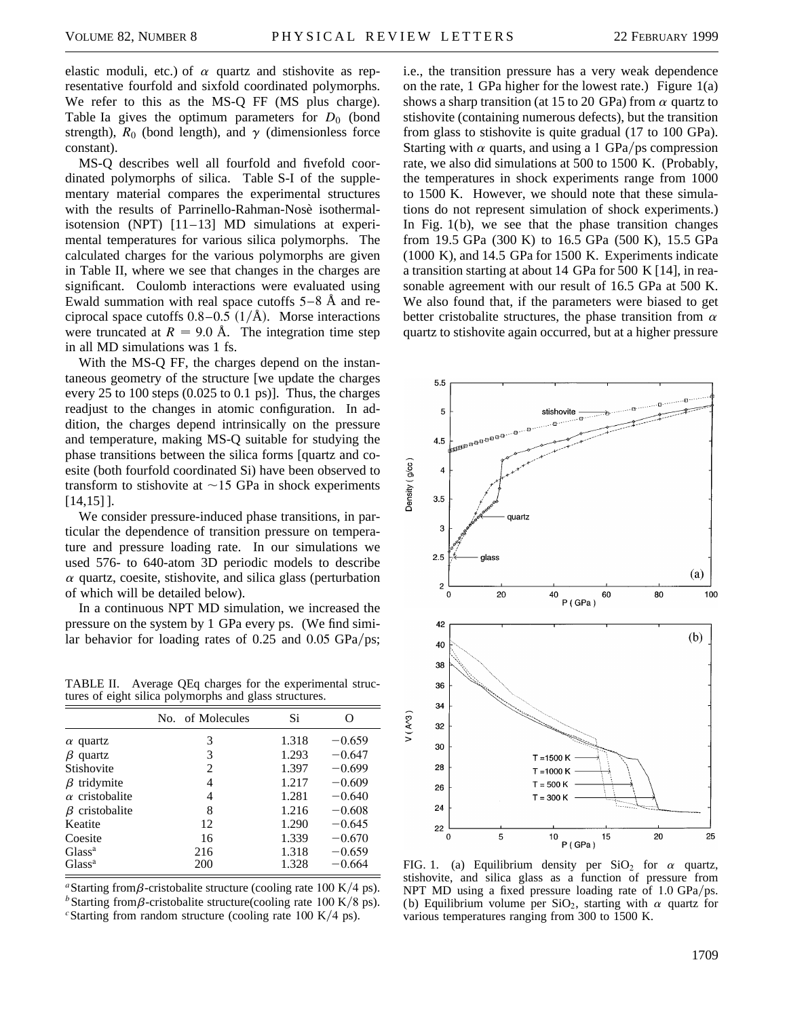elastic moduli, etc.) of  $\alpha$  quartz and stishovite as representative fourfold and sixfold coordinated polymorphs. We refer to this as the MS-Q FF (MS plus charge). Table Ia gives the optimum parameters for  $D_0$  (bond strength),  $R_0$  (bond length), and  $\gamma$  (dimensionless force constant).

MS-Q describes well all fourfold and fivefold coordinated polymorphs of silica. Table S-I of the supplementary material compares the experimental structures with the results of Parrinello-Rahman-Nosè isothermalisotension (NPT) [11–13] MD simulations at experimental temperatures for various silica polymorphs. The calculated charges for the various polymorphs are given in Table II, where we see that changes in the charges are significant. Coulomb interactions were evaluated using Ewald summation with real space cutoffs  $5-8$  Å and reciprocal space cutoffs  $0.8-0.5$  ( $1/\text{\AA}$ ). Morse interactions were truncated at  $R = 9.0$  Å. The integration time step in all MD simulations was 1 fs.

With the MS-Q FF, the charges depend on the instantaneous geometry of the structure [we update the charges every 25 to 100 steps (0.025 to 0.1 ps)]. Thus, the charges readjust to the changes in atomic configuration. In addition, the charges depend intrinsically on the pressure and temperature, making MS-Q suitable for studying the phase transitions between the silica forms [quartz and coesite (both fourfold coordinated Si) have been observed to transform to stishovite at  $\sim$ 15 GPa in shock experiments [14,15] ].

We consider pressure-induced phase transitions, in particular the dependence of transition pressure on temperature and pressure loading rate. In our simulations we used 576- to 640-atom 3D periodic models to describe  $\alpha$  quartz, coesite, stishovite, and silica glass (perturbation of which will be detailed below).

In a continuous NPT MD simulation, we increased the pressure on the system by 1 GPa every ps. (We find similar behavior for loading rates of  $0.25$  and  $0.05$  GPa/ps;

TABLE II. Average QEq charges for the experimental structures of eight silica polymorphs and glass structures.

|                       | No. of Molecules | Si    | 0        |
|-----------------------|------------------|-------|----------|
| $\alpha$ quartz       | 3                | 1.318 | $-0.659$ |
| quartz<br>β           | 3                | 1.293 | $-0.647$ |
| Stishovite            | 2                | 1.397 | $-0.699$ |
| $\beta$ tridymite     | 4                | 1.217 | $-0.609$ |
| $\alpha$ cristobalite | 4                | 1.281 | $-0.640$ |
| $\beta$ cristobalite  | 8                | 1.216 | $-0.608$ |
| Keatite               | 12               | 1.290 | $-0.645$ |
| Coesite               | 16               | 1.339 | $-0.670$ |
| $Glass^a$             | 216              | 1.318 | $-0.659$ |
| $Glass^a$             | 200              | 1.328 | $-0.664$ |

<sup>*a*</sup>Starting from  $\beta$ -cristobalite structure (cooling rate 100 K/4 ps). <sup>*b*</sup>Starting from  $\beta$ -cristobalite structure(cooling rate 100 K/8 ps). *c*Starting from random structure (cooling rate 100 K/4 ps).

i.e., the transition pressure has a very weak dependence on the rate, 1 GPa higher for the lowest rate.) Figure  $1(a)$ shows a sharp transition (at 15 to 20 GPa) from  $\alpha$  quartz to stishovite (containing numerous defects), but the transition from glass to stishovite is quite gradual (17 to 100 GPa). Starting with  $\alpha$  quarts, and using a 1 GPa/ps compression rate, we also did simulations at 500 to 1500 K. (Probably, the temperatures in shock experiments range from 1000 to 1500 K. However, we should note that these simulations do not represent simulation of shock experiments.) In Fig.  $1(b)$ , we see that the phase transition changes from 19.5 GPa (300 K) to 16.5 GPa (500 K), 15.5 GPa (1000 K), and 14.5 GPa for 1500 K. Experiments indicate a transition starting at about 14 GPa for 500 K [14], in reasonable agreement with our result of 16.5 GPa at 500 K. We also found that, if the parameters were biased to get better cristobalite structures, the phase transition from  $\alpha$ quartz to stishovite again occurred, but at a higher pressure



FIG. 1. (a) Equilibrium density per  $SiO<sub>2</sub>$  for  $\alpha$  quartz, stishovite, and silica glass as a function of pressure from NPT MD using a fixed pressure loading rate of  $1.0 \text{ GPa} / \text{ps}$ . (b) Equilibrium volume per SiO<sub>2</sub>, starting with  $\alpha$  quartz for various temperatures ranging from 300 to 1500 K.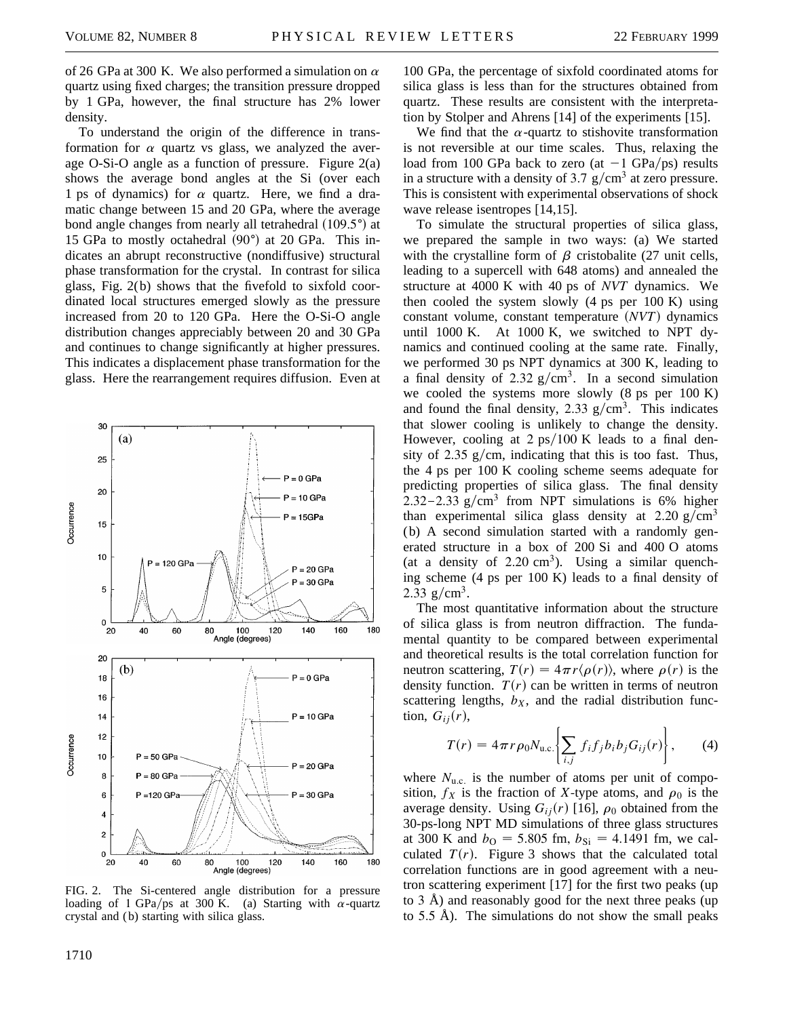of 26 GPa at 300 K. We also performed a simulation on  $\alpha$ quartz using fixed charges; the transition pressure dropped by 1 GPa, however, the final structure has 2% lower density.

To understand the origin of the difference in transformation for  $\alpha$  quartz vs glass, we analyzed the average O-Si-O angle as a function of pressure. Figure 2(a) shows the average bond angles at the Si (over each 1 ps of dynamics) for  $\alpha$  quartz. Here, we find a dramatic change between 15 and 20 GPa, where the average bond angle changes from nearly all tetrahedral  $(109.5°)$  at 15 GPa to mostly octahedral  $(90^{\circ})$  at 20 GPa. This indicates an abrupt reconstructive (nondiffusive) structural phase transformation for the crystal. In contrast for silica glass, Fig. 2(b) shows that the fivefold to sixfold coordinated local structures emerged slowly as the pressure increased from 20 to 120 GPa. Here the O-Si-O angle distribution changes appreciably between 20 and 30 GPa and continues to change significantly at higher pressures. This indicates a displacement phase transformation for the glass. Here the rearrangement requires diffusion. Even at



FIG. 2. The Si-centered angle distribution for a pressure loading of 1 GPa/ps at 300 K. (a) Starting with  $\alpha$ -quartz crystal and ( b) starting with silica glass.

100 GPa, the percentage of sixfold coordinated atoms for silica glass is less than for the structures obtained from quartz. These results are consistent with the interpretation by Stolper and Ahrens [14] of the experiments [15].

We find that the  $\alpha$ -quartz to stishovite transformation is not reversible at our time scales. Thus, relaxing the load from 100 GPa back to zero (at  $-1$  GPa/ps) results in a structure with a density of 3.7  $g/cm<sup>3</sup>$  at zero pressure. This is consistent with experimental observations of shock wave release isentropes [14,15].

To simulate the structural properties of silica glass, we prepared the sample in two ways: (a) We started with the crystalline form of  $\beta$  cristobalite (27 unit cells, leading to a supercell with 648 atoms) and annealed the structure at 4000 K with 40 ps of *NVT* dynamics. We then cooled the system slowly (4 ps per 100 K) using constant volume, constant temperature *(NVT)* dynamics until 1000 K. At 1000 K, we switched to NPT dynamics and continued cooling at the same rate. Finally, we performed 30 ps NPT dynamics at 300 K, leading to a final density of 2.32  $g/cm<sup>3</sup>$ . In a second simulation we cooled the systems more slowly (8 ps per 100 K) and found the final density, 2.33  $g/cm<sup>3</sup>$ . This indicates that slower cooling is unlikely to change the density. However, cooling at  $2 \text{ ps}/100 \text{ K}$  leads to a final density of 2.35  $g/cm$ , indicating that this is too fast. Thus, the 4 ps per 100 K cooling scheme seems adequate for predicting properties of silica glass. The final density 2.32–2.33  $g/cm<sup>3</sup>$  from NPT simulations is 6% higher than experimental silica glass density at 2.20 g/cm<sup>3</sup> (b) A second simulation started with a randomly generated structure in a box of 200 Si and 400 O atoms (at a density of 2.20  $\text{cm}^3$ ). Using a similar quenching scheme (4 ps per 100 K) leads to a final density of 2.33 g/cm<sup>3</sup>.

The most quantitative information about the structure of silica glass is from neutron diffraction. The fundamental quantity to be compared between experimental and theoretical results is the total correlation function for neutron scattering,  $T(r) = 4\pi r \langle \rho(r) \rangle$ , where  $\rho(r)$  is the density function.  $T(r)$  can be written in terms of neutron scattering lengths,  $b_X$ , and the radial distribution function,  $G_{ij}(r)$ ,

$$
T(r) = 4\pi r \rho_0 N_{\text{u.c.}} \bigg\{ \sum_{i,j} f_i f_j b_i b_j G_{ij}(r) \bigg\}, \qquad (4)
$$

where  $N_{\text{u.c.}}$  is the number of atoms per unit of composition,  $f_X$  is the fraction of *X*-type atoms, and  $\rho_0$  is the average density. Using  $G_{ij}(r)$  [16],  $\rho_0$  obtained from the 30-ps-long NPT MD simulations of three glass structures at 300 K and  $b_{\text{O}} = 5.805$  fm,  $b_{\text{Si}} = 4.1491$  fm, we calculated  $T(r)$ . Figure 3 shows that the calculated total correlation functions are in good agreement with a neutron scattering experiment [17] for the first two peaks (up to 3 Å) and reasonably good for the next three peaks (up to 5.5 Å). The simulations do not show the small peaks